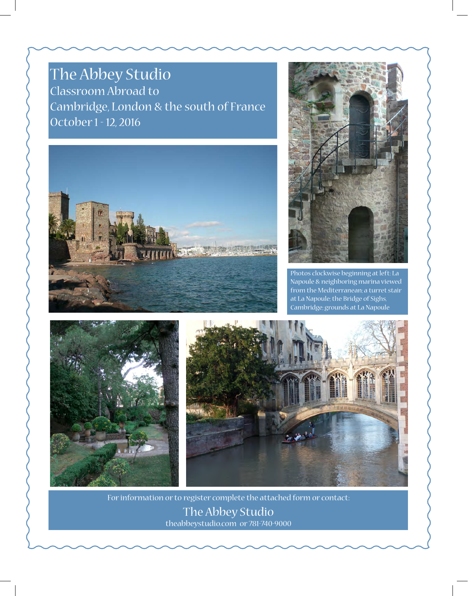# The Abbey Studio

Classroom Abroad to Cambridge, London & the south of France October 1 - 12, 2016





Photos clockwise beginning at left: La Napoule & neighboring marina viewed from the Mediterranean; a turret stair at La Napoule; the Bridge of Sighs, Cambridge; grounds at La Napoule





For information or to register complete the attached form or contact: The Abbey Studio theabbeystudio.com or 781-740-9000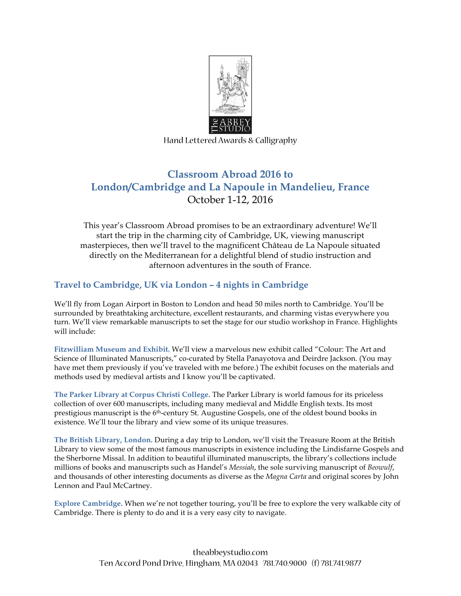

Hand Lettered Awards & Calligraphy

## **Classroom Abroad 2016 to London/Cambridge and La Napoule in Mandelieu, France** October 1-12, 2016

This year's Classroom Abroad promises to be an extraordinary adventure! We'll start the trip in the charming city of Cambridge, UK, viewing manuscript masterpieces, then we'll travel to the magnificent Château de La Napoule situated directly on the Mediterranean for a delightful blend of studio instruction and afternoon adventures in the south of France.

#### **Travel to Cambridge, UK via London – 4 nights in Cambridge**

We'll fly from Logan Airport in Boston to London and head 50 miles north to Cambridge. You'll be surrounded by breathtaking architecture, excellent restaurants, and charming vistas everywhere you turn. We'll view remarkable manuscripts to set the stage for our studio workshop in France. Highlights will include:

**Fitzwilliam Museum and Exhibit.** We'll view a marvelous new exhibit called "Colour: The Art and Science of Illuminated Manuscripts," co-curated by Stella Panayotova and Deirdre Jackson. (You may have met them previously if you've traveled with me before.) The exhibit focuses on the materials and methods used by medieval artists and I know you'll be captivated.

**The Parker Library at Corpus Christi College.** The Parker Library is world famous for its priceless collection of over 600 manuscripts, including many medieval and Middle English texts. Its most prestigious manuscript is the 6th-century St. Augustine Gospels, one of the oldest bound books in existence. We'll tour the library and view some of its unique treasures.

**The British Library, London.** During a day trip to London, we'll visit the Treasure Room at the British Library to view some of the most famous manuscripts in existence including the Lindisfarne Gospels and the Sherborne Missal. In addition to beautiful illuminated manuscripts, the library's collections include millions of books and manuscripts such as Handel's *Messiah*, the sole surviving manuscript of *Beowulf*, and thousands of other interesting documents as diverse as the *Magna Carta* and original scores by John Lennon and Paul McCartney.

**Explore Cambridge.** When we're not together touring, you'll be free to explore the very walkable city of Cambridge. There is plenty to do and it is a very easy city to navigate.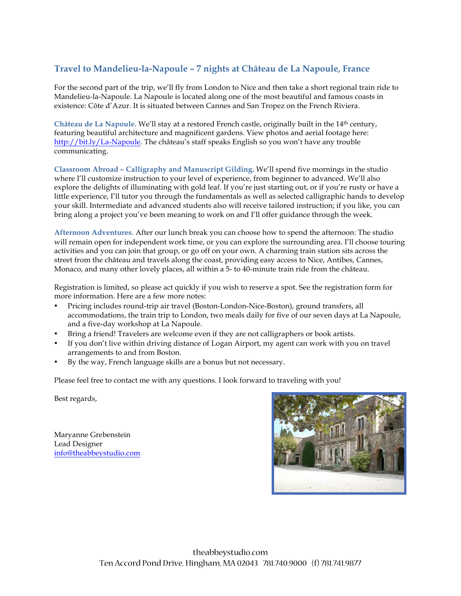### **Travel to Mandelieu-la-Napoule – 7 nights at Château de La Napoule, France**

For the second part of the trip, we'll fly from London to Nice and then take a short regional train ride to Mandelieu-la-Napoule. La Napoule is located along one of the most beautiful and famous coasts in existence: Côte d'Azur. It is situated between Cannes and San Tropez on the French Riviera.

**Château de La Napoule.** We'll stay at a restored French castle, originally built in the 14th century, featuring beautiful architecture and magnificent gardens. View photos and aerial footage here: http://bit.ly/La-Napoule. The château's staff speaks English so you won't have any trouble communicating.

**Classroom Abroad – Calligraphy and Manuscript Gilding.** We'll spend five mornings in the studio where I'll customize instruction to your level of experience, from beginner to advanced. We'll also explore the delights of illuminating with gold leaf. If you're just starting out, or if you're rusty or have a little experience, I'll tutor you through the fundamentals as well as selected calligraphic hands to develop your skill. Intermediate and advanced students also will receive tailored instruction; if you like, you can bring along a project you've been meaning to work on and I'll offer guidance through the week.

**Afternoon Adventures.** After our lunch break you can choose how to spend the afternoon: The studio will remain open for independent work time, or you can explore the surrounding area. I'll choose touring activities and you can join that group, or go off on your own. A charming train station sits across the street from the château and travels along the coast, providing easy access to Nice, Antibes, Cannes, Monaco, and many other lovely places, all within a 5- to 40-minute train ride from the château.

Registration is limited, so please act quickly if you wish to reserve a spot. See the registration form for more information. Here are a few more notes:

- Pricing includes round-trip air travel (Boston-London-Nice-Boston), ground transfers, all accommodations, the train trip to London, two meals daily for five of our seven days at La Napoule, and a five-day workshop at La Napoule.
- Bring a friend! Travelers are welcome even if they are not calligraphers or book artists.
- If you don't live within driving distance of Logan Airport, my agent can work with you on travel arrangements to and from Boston.
- By the way, French language skills are a bonus but not necessary.

Please feel free to contact me with any questions. I look forward to traveling with you!

Best regards,

Maryanne Grebenstein Lead Designer info@theabbeystudio.com

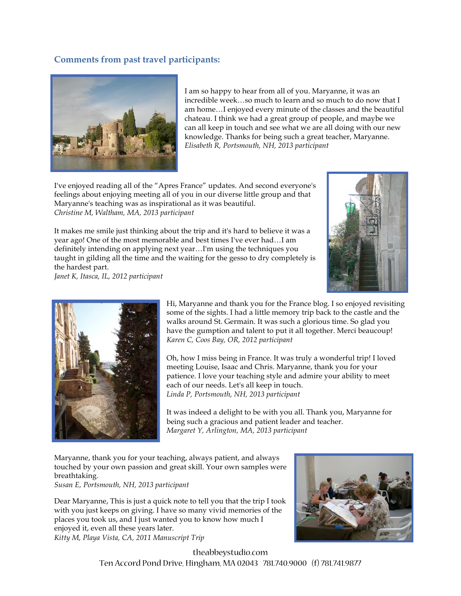#### **Comments from past travel participants:**



I am so happy to hear from all of you. Maryanne, it was an incredible week…so much to learn and so much to do now that I am home…I enjoyed every minute of the classes and the beautiful chateau. I think we had a great group of people, and maybe we can all keep in touch and see what we are all doing with our new knowledge. Thanks for being such a great teacher, Maryanne. *Elisabeth R, Portsmouth, NH, 2013 participant*

I've enjoyed reading all of the "Apres France" updates. And second everyone's feelings about enjoying meeting all of you in our diverse little group and that Maryanne's teaching was as inspirational as it was beautiful. *Christine M, Waltham, MA, 2013 participant*

It makes me smile just thinking about the trip and it's hard to believe it was a year ago! One of the most memorable and best times I've ever had…I am definitely intending on applying next year…I'm using the techniques you taught in gilding all the time and the waiting for the gesso to dry completely is the hardest part.

*Janet K, Itasca, IL, 2012 participant*





Hi, Maryanne and thank you for the France blog. I so enjoyed revisiting some of the sights. I had a little memory trip back to the castle and the walks around St. Germain. It was such a glorious time. So glad you have the gumption and talent to put it all together. Merci beaucoup! *Karen C, Coos Bay, OR, 2012 participant*

Oh, how I miss being in France. It was truly a wonderful trip! I loved meeting Louise, Isaac and Chris. Maryanne, thank you for your patience. I love your teaching style and admire your ability to meet each of our needs. Let's all keep in touch. *Linda P, Portsmouth, NH, 2013 participant*

It was indeed a delight to be with you all. Thank you, Maryanne for being such a gracious and patient leader and teacher. *Margaret Y, Arlington, MA, 2013 participant*

Maryanne, thank you for your teaching, always patient, and always touched by your own passion and great skill. Your own samples were breathtaking.

*Susan E, Portsmouth, NH, 2013 participant*

Dear Maryanne, This is just a quick note to tell you that the trip I took with you just keeps on giving. I have so many vivid memories of the places you took us, and I just wanted you to know how much I enjoyed it, even all these years later.



*Kitty M, Playa Vista, CA, 2011 Manuscript Trip*

theabbeystudio.com Ten Accord Pond Drive, Hingham, MA 02043 781.740.9000 (f) 781.741.9877